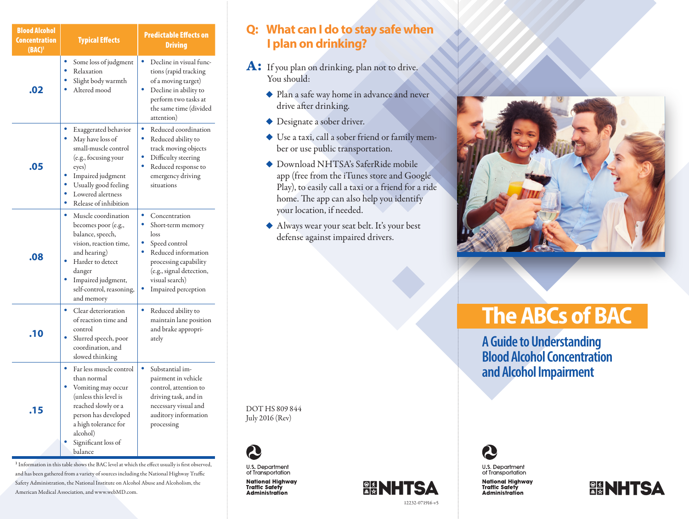| <b>Blood Alcohol</b><br><b>Concentration</b><br>$(BAC)^1$ | <b>Typical Effects</b>                                                                                                                                                                                          | <b>Predictable Effects on</b><br><b>Driving</b>                                                                                                                                            |
|-----------------------------------------------------------|-----------------------------------------------------------------------------------------------------------------------------------------------------------------------------------------------------------------|--------------------------------------------------------------------------------------------------------------------------------------------------------------------------------------------|
| .02                                                       | Some loss of judgment<br>Relaxation<br>Slight body warmth<br>Altered mood                                                                                                                                       | Decline in visual func-<br>tions (rapid tracking<br>of a moving target)<br>Decline in ability to<br>perform two tasks at<br>the same time (divided<br>attention)                           |
| .05                                                       | Exaggerated behavior<br>May have loss of<br>small-muscle control<br>(e.g., focusing your<br>eyes)<br>Impaired judgment<br>Usually good feeling<br>Lowered alertness<br>Release of inhibition                    | ۰<br>Reduced coordination<br>$\bullet$<br>Reduced ability to<br>track moving objects<br>Difficulty steering<br>۰<br>Reduced response to<br>emergency driving<br>situations                 |
| .08                                                       | ۰<br>Muscle coordination<br>becomes poor (e.g.,<br>balance, speech,<br>vision, reaction time,<br>and hearing)<br>Harder to detect<br>danger<br>Impaired judgment,<br>self-control, reasoning,<br>and memory     | ۰<br>Concentration<br>Short-term memory<br>loss<br>Speed control<br>٠<br>Reduced information<br>processing capability<br>(e.g., signal detection,<br>visual search)<br>Impaired perception |
| .10                                                       | Clear deterioration<br>of reaction time and<br>control<br>Slurred speech, poor<br>coordination, and<br>slowed thinking                                                                                          | ٠<br>Reduced ability to<br>maintain lane position<br>and brake appropri-<br>ately                                                                                                          |
| .15                                                       | ۰<br>Far less muscle control<br>than normal<br>Vomiting may occur<br>(unless this level is<br>reached slowly or a<br>person has developed<br>a high tolerance for<br>alcohol)<br>Significant loss of<br>balance | Substantial im-<br>pairment in vehicle<br>control, attention to<br>driving task, and in<br>necessary visual and<br>auditory information<br>processing                                      |

<sup>1</sup> Information in this table shows the BAC level at which the effect usually is first observed, and has been gathered from a variety of sources including the National Highway Traffic Safety Administration, the National Institute on Alcohol Abuse and Alcoholism, the American Medical Association, and www.webMD.com.

#### **Q: What can I do to stay safe when I plan on drinking?**

- A: If you plan on drinking, plan not to drive. You should:
	- ◆ Plan a safe way home in advance and never drive after drinking.
	- ◆ Designate a sober driver.
	- ◆ Use a taxi, call a sober friend or family member or use public transportation.
	- $\bullet$  Download NHTSA's SaferRide mobile app (free from the iTunes store and Google Play), to easily call a taxi or a friend for a ride home. The app can also help you identify your location, if needed.
	- u Always wear your seat belt. It's your best defense against impaired drivers.

DOT HS 809 844 July 2016 (Rev)



U.S. Department<br>of Transportation National Highway<br>Traffic Safety

**Administration** 





# **The ABCs of BAC**

**A Guide to Understanding Blood Alcohol Concentration and Alcohol Impairment**